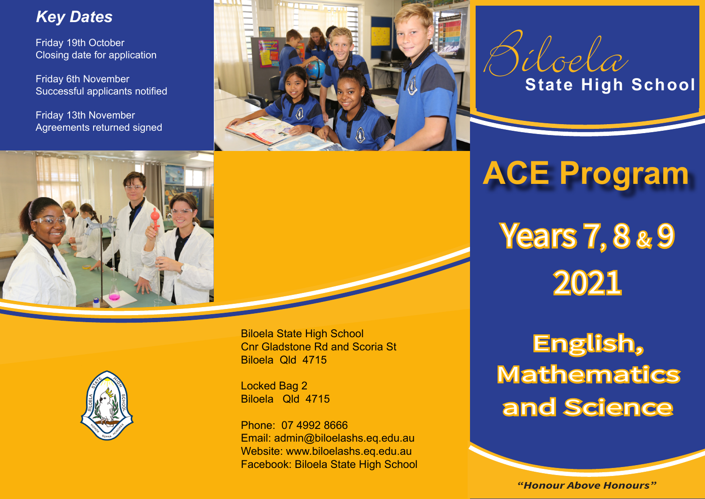### *Key Dates*

Friday 19th October Closing date for application

Friday 6th November Successful applicants notified

Friday 13th November Agreements returned signed





# **ACE Program**



## English, Mathematics and Science



Biloela State High School Cnr Gladstone Rd and Scoria St Biloela Qld 4715

Locked Bag 2 Biloela Qld 4715

Phone: 07 4992 8666 Email: admin@biloelashs.eq.edu.au Website: www.biloelashs.eq.edu.au Facebook: Biloela State High School

*"Honour Above Honours"*